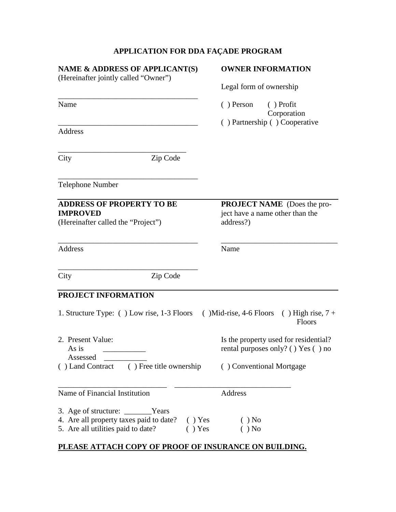## **APPLICATION FOR DDA FAÇADE PROGRAM**

| NAME & ADDRESS OF APPLICANT(S)<br>(Hereinafter jointly called "Owner")                                                                   | <b>OWNER INFORMATION</b><br>Legal form of ownership                                |
|------------------------------------------------------------------------------------------------------------------------------------------|------------------------------------------------------------------------------------|
|                                                                                                                                          |                                                                                    |
|                                                                                                                                          | () Partnership () Cooperative                                                      |
| Address                                                                                                                                  |                                                                                    |
| Zip Code<br>City                                                                                                                         |                                                                                    |
| <b>Telephone Number</b>                                                                                                                  |                                                                                    |
| <b>ADDRESS OF PROPERTY TO BE</b><br><b>IMPROVED</b><br>(Hereinafter called the "Project")                                                | <b>PROJECT NAME</b> (Does the pro-<br>ject have a name other than the<br>address?) |
| Address                                                                                                                                  | Name                                                                               |
| Zip Code<br>City                                                                                                                         |                                                                                    |
| PROJECT INFORMATION                                                                                                                      |                                                                                    |
| 1. Structure Type: () Low rise, 1-3 Floors                                                                                               | $(Mid-rise, 4-6 Floors)$<br>$( )$ High rise, $7 +$<br>Floors                       |
| 2. Present Value:<br>As is<br>Assessed                                                                                                   | Is the property used for residential?<br>rental purposes only? ( ) Yes ( ) no      |
| () Land Contract () Free title ownership () Conventional Mortgage                                                                        |                                                                                    |
| Name of Financial Institution                                                                                                            | Address                                                                            |
| 3. Age of structure: _________Years<br>4. Are all property taxes paid to date? () Yes<br>5. Are all utilities paid to date?<br>$( )$ Yes | $( )$ No<br>$( )$ No                                                               |

## **PLEASE ATTACH COPY OF PROOF OF INSURANCE ON BUILDING.**